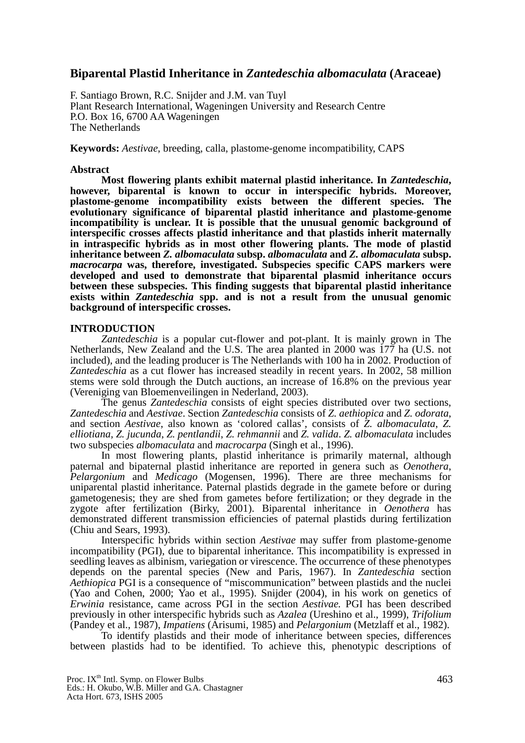## **Biparental Plastid Inheritance in** *Zantedeschia albomaculata* **(Araceae)**

F. Santiago Brown, R.C. Snijder and J.M. van Tuyl Plant Research International, Wageningen University and Research Centre P.O. Box 16, 6700 AA Wageningen The Netherlands

**Keywords:** *Aestivae*, breeding, calla, plastome-genome incompatibility, CAPS

## **Abstract**

**Most flowering plants exhibit maternal plastid inheritance. In** *Zantedeschia***, however, biparental is known to occur in interspecific hybrids. Moreover, plastome-genome incompatibility exists between the different species. The evolutionary significance of biparental plastid inheritance and plastome-genome incompatibility is unclear. It is possible that the unusual genomic background of interspecific crosses affects plastid inheritance and that plastids inherit maternally in intraspecific hybrids as in most other flowering plants. The mode of plastid inheritance between** *Z. albomaculata* **subsp.** *albomaculata* **and** *Z. albomaculata* **subsp.**  *macrocarpa* **was, therefore, investigated. Subspecies specific CAPS markers were developed and used to demonstrate that biparental plasmid inheritance occurs between these subspecies. This finding suggests that biparental plastid inheritance exists within** *Zantedeschia* **spp. and is not a result from the unusual genomic background of interspecific crosses.**

## **INTRODUCTION**

*Zantedeschia* is a popular cut-flower and pot-plant. It is mainly grown in The Netherlands, New Zealand and the U.S. The area planted in 2000 was 177 ha (U.S. not included), and the leading producer is The Netherlands with 100 ha in 2002. Production of *Zantedeschia* as a cut flower has increased steadily in recent years. In 2002, 58 million stems were sold through the Dutch auctions, an increase of 16.8% on the previous year (Vereniging van Bloemenveilingen in Nederland, 2003).

The genus *Zantedeschia* consists of eight species distributed over two sections, *Zantedeschia* and *Aestivae*. Section *Zantedeschia* consists of *Z. aethiopica* and *Z. odorata*, and section *Aestivae*, also known as 'colored callas', consists of *Z. albomaculata*, *Z. elliotiana, Z. jucunda*, *Z. pentlandii*, *Z. rehmannii* and *Z. valida*. *Z. albomaculata* includes two subspecies *albomaculata* and *macrocarpa* (Singh et al., 1996).

In most flowering plants, plastid inheritance is primarily maternal, although paternal and bipaternal plastid inheritance are reported in genera such as *Oenothera*, *Pelargonium* and *Medicago* (Mogensen, 1996). There are three mechanisms for uniparental plastid inheritance. Paternal plastids degrade in the gamete before or during gametogenesis; they are shed from gametes before fertilization; or they degrade in the zygote after fertilization (Birky, 2001). Biparental inheritance in *Oenothera* has demonstrated different transmission efficiencies of paternal plastids during fertilization (Chiu and Sears, 1993).

Interspecific hybrids within section *Aestivae* may suffer from plastome-genome incompatibility (PGI), due to biparental inheritance. This incompatibility is expressed in seedling leaves as albinism, variegation or virescence. The occurrence of these phenotypes depends on the parental species (New and Paris, 1967). In *Zantedeschia* section *Aethiopica* PGI is a consequence of "miscommunication" between plastids and the nuclei (Yao and Cohen, 2000; Yao et al., 1995). Snijder (2004), in his work on genetics of *Erwinia* resistance, came across PGI in the section *Aestivae.* PGI has been described previously in other interspecific hybrids such as *Azalea* (Ureshino et al., 1999), *Trifolium* (Pandey et al., 1987), *Impatiens* (Arisumi, 1985) and *Pelargonium* (Metzlaff et al., 1982).

To identify plastids and their mode of inheritance between species, differences between plastids had to be identified. To achieve this, phenotypic descriptions of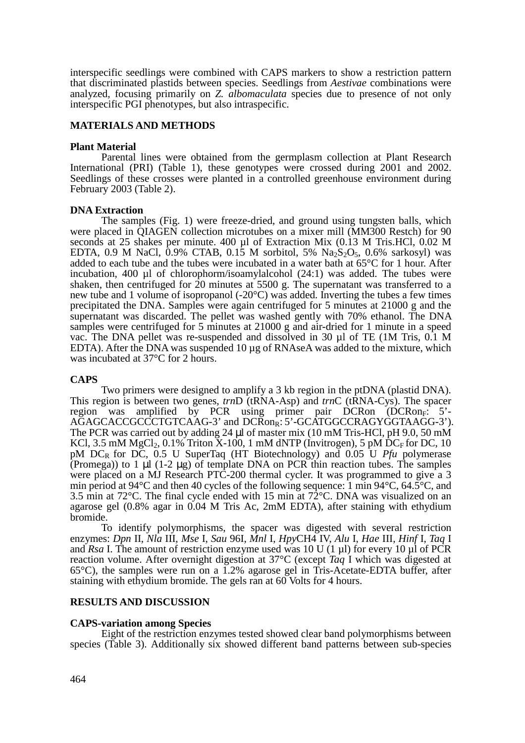interspecific seedlings were combined with CAPS markers to show a restriction pattern that discriminated plastids between species. Seedlings from *Aestivae* combinations were analyzed, focusing primarily on *Z. albomaculata* species due to presence of not only interspecific PGI phenotypes, but also intraspecific.

### **MATERIALS AND METHODS**

#### **Plant Material**

Parental lines were obtained from the germplasm collection at Plant Research International (PRI) (Table 1), these genotypes were crossed during 2001 and 2002. Seedlings of these crosses were planted in a controlled greenhouse environment during February 2003 (Table 2).

#### **DNA Extraction**

The samples (Fig. 1) were freeze-dried, and ground using tungsten balls, which were placed in QIAGEN collection microtubes on a mixer mill (MM300 Restch) for 90 seconds at 25 shakes per minute. 400 µl of Extraction Mix (0.13 M Tris.HCl, 0.02 M EDTA,  $0.9$  M NaCl,  $0.9\%$  CTAB,  $0.15$  M sorbitol,  $5\%$  Na<sub>2</sub>S<sub>2</sub>O<sub>5</sub>,  $0.6\%$  sarkosyl) was added to each tube and the tubes were incubated in a water bath at 65°C for 1 hour. After incubation, 400 µl of chlorophorm/isoamylalcohol (24:1) was added. The tubes were shaken, then centrifuged for  $\overline{20}$  minutes at 5500 g. The supernatant was transferred to a new tube and 1 volume of isopropanol (-20°C) was added. Inverting the tubes a few times precipitated the DNA. Samples were again centrifuged for 5 minutes at 21000 g and the supernatant was discarded. The pellet was washed gently with 70% ethanol. The DNA samples were centrifuged for 5 minutes at 21000 g and air-dried for 1 minute in a speed vac. The DNA pellet was re-suspended and dissolved in 30 µl of TE (1M Tris, 0.1 M EDTA). After the DNA was suspended 10 µg of RNAseA was added to the mixture, which was incubated at 37°C for 2 hours.

#### **CAPS**

Two primers were designed to amplify a 3 kb region in the ptDNA (plastid DNA). This region is between two genes, *trn*D (tRNA-Asp) and *trn*C (tRNA-Cys). The spacer region was amplified by PCR using primer pair DCRon (DCRon<sub>F</sub>: 5'-AGAGCACCGCCCTGTCAAG-3' and DCRon<sub>R</sub>: 5'-GCATGGCCRAGYGGTAAGG-3'). The PCR was carried out by adding 24 µl of master mix (10 mM Tris-HCl, pH 9.0, 50 mM KCl, 3.5 mM MgCl<sub>2</sub>, 0.1% Triton  $X-100$ , 1 mM dNTP (Invitrogen), 5 pM DC<sub>F</sub> for DC, 10 pM DCR for DC, 0.5 U SuperTaq (HT Biotechnology) and 0.05 U *Pfu* polymerase (Promega)) to 1  $\mu$ l (1-2  $\mu$ g) of template DNA on PCR thin reaction tubes. The samples were placed on a MJ Research PTC-200 thermal cycler. It was programmed to give a 3 min period at 94°C and then 40 cycles of the following sequence: 1 min 94°C, 64.5°C, and 3.5 min at 72°C. The final cycle ended with 15 min at 72°C. DNA was visualized on an agarose gel (0.8% agar in 0.04 M Tris Ac, 2mM EDTA), after staining with ethydium bromide.

To identify polymorphisms, the spacer was digested with several restriction enzymes: *Dpn* II, *Nla* III, *Mse* I, *Sau* 96I, *Mnl* I, *Hpy*CH4 IV, *Alu* I, *Hae* III, *Hinf* I, *Taq* I and *Rsa* I. The amount of restriction enzyme used was 10 U (1 µl) for every 10 µl of PCR reaction volume. After overnight digestion at 37°C (except *Taq* I which was digested at 65°C), the samples were run on a 1.2% agarose gel in Tris-Acetate-EDTA buffer, after staining with ethydium bromide. The gels ran at 60 Volts for 4 hours.

#### **RESULTS AND DISCUSSION**

#### **CAPS-variation among Species**

Eight of the restriction enzymes tested showed clear band polymorphisms between species (Table 3). Additionally six showed different band patterns between sub-species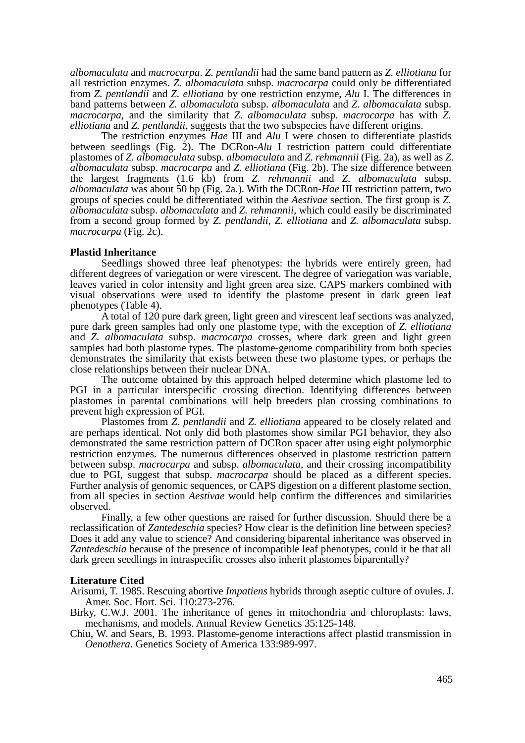*albomaculata* and *macrocarpa*. *Z. pentlandii* had the same band pattern as *Z. elliotiana* for all restriction enzymes. *Z. albomaculata* subsp. *macrocarpa* could only be differentiated from *Z. pentlandii* and *Z. elliotiana* by one restriction enzyme, *Alu* I. The differences in band patterns between *Z. albomaculata* subsp. *albomaculata* and *Z. albomaculata* subsp. *macrocarpa*, and the similarity that *Z. albomaculata* subsp. *macrocarpa* has with *Z. elliotiana* and *Z. pentlandii*, suggests that the two subspecies have different origins.

The restriction enzymes *Hae* III and *Alu* I were chosen to differentiate plastids between seedlings (Fig. 2). The DCRon-*Alu* I restriction pattern could differentiate plastomes of *Z. albomaculata* subsp. *albomaculata* and *Z. rehmannii* (Fig. 2a), as well as *Z. albomaculata* subsp. *macrocarpa* and *Z. elliotiana* (Fig. 2b). The size difference between the largest fragments (1.6 kb) from *Z. rehmannii* and *Z. albomaculata* subsp. *albomaculata* was about 50 bp (Fig. 2a.). With the DCRon-*Hae* III restriction pattern, two groups of species could be differentiated within the *Aestivae* section. The first group is *Z. albomaculata* subsp. *albomaculata* and *Z. rehmannii,* which could easily be discriminated from a second group formed by *Z. pentlandii, Z. elliotiana* and *Z. albomaculata* subsp. *macrocarpa* (Fig. 2c).

#### **Plastid Inheritance**

Seedlings showed three leaf phenotypes: the hybrids were entirely green, had different degrees of variegation or were virescent. The degree of variegation was variable, leaves varied in color intensity and light green area size. CAPS markers combined with visual observations were used to identify the plastome present in dark green leaf phenotypes (Table 4).

A total of 120 pure dark green, light green and virescent leaf sections was analyzed, pure dark green samples had only one plastome type, with the exception of *Z. elliotiana* and *Z. albomaculata* subsp. *macrocarpa* crosses, where dark green and light green samples had both plastome types. The plastome-genome compatibility from both species demonstrates the similarity that exists between these two plastome types, or perhaps the close relationships between their nuclear DNA.

The outcome obtained by this approach helped determine which plastome led to PGI in a particular interspecific crossing direction. Identifying differences between plastomes in parental combinations will help breeders plan crossing combinations to prevent high expression of PGI.

Plastomes from *Z. pentlandii* and *Z. elliotiana* appeared to be closely related and are perhaps identical. Not only did both plastomes show similar PGI behavior, they also demonstrated the same restriction pattern of DCRon spacer after using eight polymorphic restriction enzymes. The numerous differences observed in plastome restriction pattern between subsp. *macrocarpa* and subsp. *albomaculata*, and their crossing incompatibility due to PGI, suggest that subsp. *macrocarpa* should be placed as a different species. Further analysis of genomic sequences, or CAPS digestion on a different plastome section, from all species in section *Aestivae* would help confirm the differences and similarities observed.

Finally, a few other questions are raised for further discussion. Should there be a reclassification of *Zantedeschia* species? How clear is the definition line between species? Does it add any value to science? And considering biparental inheritance was observed in *Zantedeschia* because of the presence of incompatible leaf phenotypes, could it be that all dark green seedlings in intraspecific crosses also inherit plastomes biparentally?

#### **Literature Cited**

Arisumi, T. 1985. Rescuing abortive *Impatiens* hybrids through aseptic culture of ovules. J. Amer. Soc. Hort. Sci. 110:273-276.

- Birky, C.W.J. 2001. The inheritance of genes in mitochondria and chloroplasts: laws, mechanisms, and models. Annual Review Genetics 35:125-148.
- Chiu, W. and Sears, B. 1993. Plastome-genome interactions affect plastid transmission in *Oenothera*. Genetics Society of America 133:989-997.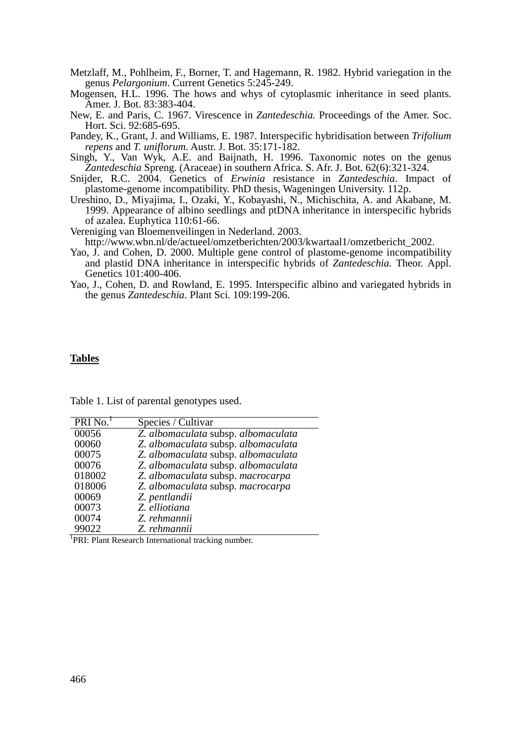- Metzlaff, M., Pohlheim, F., Borner, T. and Hagemann, R. 1982. Hybrid variegation in the genus *Pelargonium*. Current Genetics 5:245-249.
- Mogensen, H.L. 1996. The hows and whys of cytoplasmic inheritance in seed plants. Amer. J. Bot. 83:383-404.
- New, E. and Paris, C. 1967. Virescence in *Zantedeschia.* Proceedings of the Amer. Soc. Hort. Sci. 92:685-695.
- Pandey, K., Grant, J. and Williams, E. 1987. Interspecific hybridisation between *Trifolium repens* and *T. uniflorum*. Austr. J. Bot. 35:171-182.
- Singh, Y., Van Wyk, A.E. and Baijnath, H. 1996. Taxonomic notes on the genus *Zantedeschia* Spreng. (Araceae) in southern Africa. S. Afr. J. Bot. 62(6):321-324.
- Snijder, R.C. 2004. Genetics of *Erwinia* resistance in *Zantedeschia*. Impact of plastome-genome incompatibility. PhD thesis, Wageningen University. 112p.
- Ureshino, D., Miyajima, I., Ozaki, Y., Kobayashi, N., Michischita, A. and Akabane, M. 1999. Appearance of albino seedlings and ptDNA inheritance in interspecific hybrids of azalea. Euphytica 110:61-66.
- Vereniging van Bloemenveilingen in Nederland. 2003. http://www.wbn.nl/de/actueel/omzetberichten/2003/kwartaal1/omzetbericht\_2002.
- Yao, J. and Cohen, D. 2000. Multiple gene control of plastome-genome incompatibility and plastid DNA inheritance in interspecific hybrids of *Zantedeschia.* Theor. Appl. Genetics 101:400-406.
- Yao, J., Cohen, D. and Rowland, E. 1995. Interspecific albino and variegated hybrids in the genus *Zantedeschia*. Plant Sci. 109:199-206.

#### **Tables**

| PRI No. <sup>1</sup> | Species / Cultivar                  |
|----------------------|-------------------------------------|
| 00056                | Z. albomaculata subsp. albomaculata |
| 00060                | Z. albomaculata subsp. albomaculata |
| 00075                | Z. albomaculata subsp. albomaculata |
| 00076                | Z. albomaculata subsp. albomaculata |
| 018002               | Z. albomaculata subsp. macrocarpa   |
| 018006               | Z. albomaculata subsp. macrocarpa   |
| 00069                | Z. pentlandii                       |
| 00073                | Z. elliotiana                       |
| 00074                | Z. rehmannii                        |
| 99022                | Z. rehmannii                        |

Table 1. List of parental genotypes used.

<sup>1</sup>PRI: Plant Research International tracking number.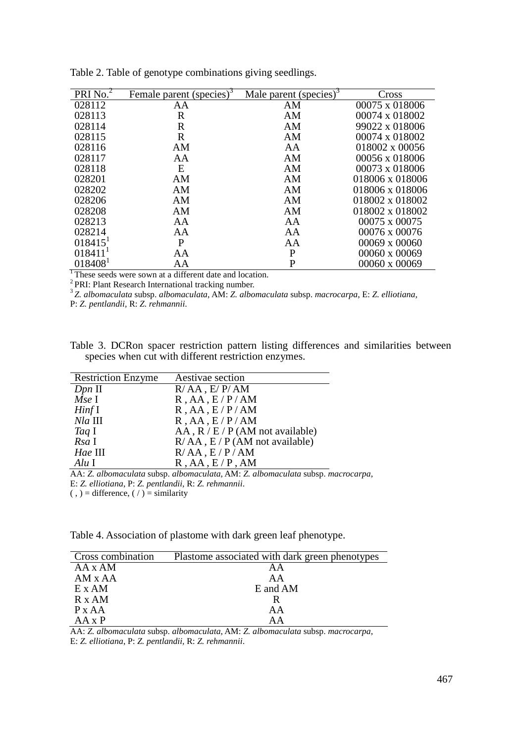| PRINo.                | Female parent (species) <sup>3</sup> | Male parent (species) <sup>3</sup> | Cross           |
|-----------------------|--------------------------------------|------------------------------------|-----------------|
| 028112                | AA                                   | AM                                 | 00075 x 018006  |
| 028113                | $\mathbf R$                          | AM                                 | 00074 x 018002  |
| 028114                | $\mathbf R$                          | AM                                 | 99022 x 018006  |
| 028115                | $\mathbf R$                          | AM                                 | 00074 x 018002  |
| 028116                | AM                                   | AA                                 | 018002 x 00056  |
| 028117                | AA                                   | AM                                 | 00056 x 018006  |
| 028118                | E                                    | AM                                 | 00073 x 018006  |
| 028201                | AM                                   | AM                                 | 018006 x 018006 |
| 028202                | AM                                   | AM                                 | 018006 x 018006 |
| 028206                | AM                                   | AM                                 | 018002 x 018002 |
| 028208                | AM                                   | AM                                 | 018002 x 018002 |
| 028213                | AA                                   | AA                                 | 00075 x 00075   |
| 028214                | AA                                   | AA                                 | 00076 x 00076   |
| $018415$ <sup>1</sup> | P                                    | AA                                 | 00069 x 00060   |
| 018411'               | AA                                   | P                                  | 00060 x 00069   |
| 018408                | AA                                   | P                                  | 00060 x 00069   |

Table 2. Table of genotype combinations giving seedlings.

 $\overline{A}$  These seeds were sown at a different date and location.

<sup>2</sup> PRI: Plant Research International tracking number.

<sup>3</sup>*Z. albomaculata* subsp. *albomaculata*, AM: *Z. albomaculata* subsp. *macrocarpa*, E: *Z. elliotiana*,

P: *Z. pentlandii,* R: *Z. rehmannii*.

Table 3. DCRon spacer restriction pattern listing differences and similarities between species when cut with different restriction enzymes.

| <b>Restriction Enzyme</b> | Aestivae section                      |
|---------------------------|---------------------------------------|
| $Dpn$ II                  | $R/AA$ , $E/P/AM$                     |
| Mse I                     | R,AA, E/P/AM                          |
| HintI                     | R,AA, E/P/AM                          |
| $Nla$ III                 | R,AA, E/P/AM                          |
| Taq I                     | $AA$ , $R / E / P$ (AM not available) |
| Rsa I                     | $R/AA$ , $E/P(AM not available)$      |
| Hae III                   | $R/AA$ , $E/P/AM$                     |
| Alu I                     | R,AA, E/P,AM                          |

AA: *Z. albomaculata* subsp. *albomaculata*, AM: *Z. albomaculata* subsp. *macrocarpa*,

E: *Z. elliotiana*, P: *Z. pentlandii,* R: *Z. rehmannii*.

 $( , )$  = difference,  $( / )$  = similarity

Table 4. Association of plastome with dark green leaf phenotype.

| Cross combination | Plastome associated with dark green phenotypes |
|-------------------|------------------------------------------------|
| $AA \times AM$    | ΑA                                             |
| AM x AA           | AA                                             |
| $E \times AM$     | E and AM                                       |
| $R \times AM$     |                                                |
| P X A A           | AA                                             |
| $AA \times P$     | AΑ                                             |

AA: *Z. albomaculata* subsp. *albomaculata*, AM: *Z. albomaculata* subsp. *macrocarpa*, E: *Z. elliotiana*, P: *Z. pentlandii,* R: *Z. rehmannii*.